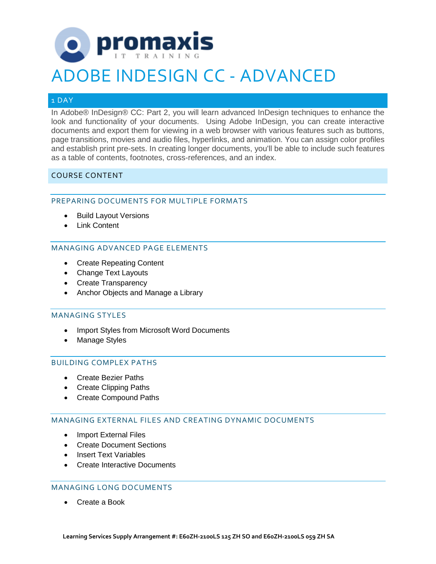# promaxis

# ADOBE INDESIGN CC - ADVANCED

# 1 DAY

In Adobe® InDesign® CC: Part 2, you will learn advanced InDesign techniques to enhance the look and functionality of your documents. Using Adobe InDesign, you can create interactive documents and export them for viewing in a web browser with various features such as buttons, page transitions, movies and audio files, hyperlinks, and animation. You can assign color profiles and establish print pre-sets. In creating longer documents, you'll be able to include such features as a table of contents, footnotes, cross-references, and an index.

# COURSE CONTENT

# PREPARING DOCUMENTS FOR MULTIPLE FORMATS

- Build Layout Versions
- Link Content

# MANAGING ADVANCED PAGE ELEMENTS

- Create Repeating Content
- Change Text Layouts
- Create Transparency
- Anchor Objects and Manage a Library

#### MANAGING STYLES

- Import Styles from Microsoft Word Documents
- Manage Styles

#### BUILDING COMPLEX PATHS

- Create Bezier Paths
- Create Clipping Paths
- Create Compound Paths

#### MANAGING EXTERNAL FILES AND CREATING DYNAMIC DOCUMENTS

- Import External Files
- Create Document Sections
- Insert Text Variables
- Create Interactive Documents

#### MANAGING LONG DOCUMENTS

• Create a Book